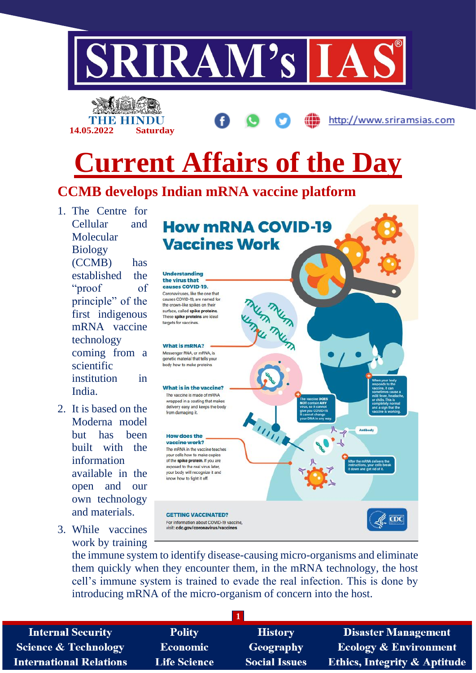

the immune system to identify disease-causing micro-organisms and eliminate them quickly when they encounter them, in the mRNA technology, the host cell's immune system is trained to evade the real infection. This is done by introducing mRNA of the micro-organism of concern into the host.

**1 Internal Security Polity History Disaster Management Science & Technology Economic** Geography **Ecology & Environment International Relations Life Science Social Issues Ethics, Integrity & Aptitude**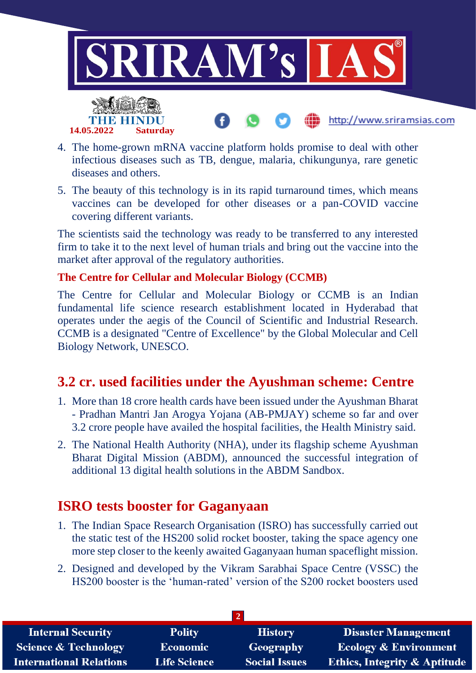

- 4. The home-grown mRNA vaccine platform holds promise to deal with other infectious diseases such as TB, dengue, malaria, chikungunya, rare genetic diseases and others.
- 5. The beauty of this technology is in its rapid turnaround times, which means vaccines can be developed for other diseases or a pan-COVID vaccine covering different variants.

The scientists said the technology was ready to be transferred to any interested firm to take it to the next level of human trials and bring out the vaccine into the market after approval of the regulatory authorities.

### **The Centre for Cellular and Molecular Biology (CCMB)**

The Centre for Cellular and Molecular Biology or CCMB is an Indian fundamental life science research establishment located in Hyderabad that operates under the aegis of the Council of Scientific and Industrial Research. CCMB is a designated "Centre of Excellence" by the Global Molecular and Cell Biology Network, UNESCO.

## **3.2 cr. used facilities under the Ayushman scheme: Centre**

- 1. More than 18 crore health cards have been issued under the Ayushman Bharat - Pradhan Mantri Jan Arogya Yojana (AB-PMJAY) scheme so far and over 3.2 crore people have availed the hospital facilities, the Health Ministry said.
- 2. The National Health Authority (NHA), under its flagship scheme Ayushman Bharat Digital Mission (ABDM), announced the successful integration of additional 13 digital health solutions in the ABDM Sandbox.

## **ISRO tests booster for Gaganyaan**

- 1. The Indian Space Research Organisation (ISRO) has successfully carried out the static test of the HS200 solid rocket booster, taking the space agency one more step closer to the keenly awaited Gaganyaan human spaceflight mission.
- 2. Designed and developed by the Vikram Sarabhai Space Centre (VSSC) the HS200 booster is the 'human-rated' version of the S200 rocket boosters used

| <b>Internal Security</b>       | <b>Polity</b>       | <b>History</b>       | <b>Disaster Management</b>              |  |  |
|--------------------------------|---------------------|----------------------|-----------------------------------------|--|--|
| Science & Technology           | <b>Economic</b>     | Geography            | <b>Ecology &amp; Environment</b>        |  |  |
| <b>International Relations</b> | <b>Life Science</b> | <b>Social Issues</b> | <b>Ethics, Integrity &amp; Aptitude</b> |  |  |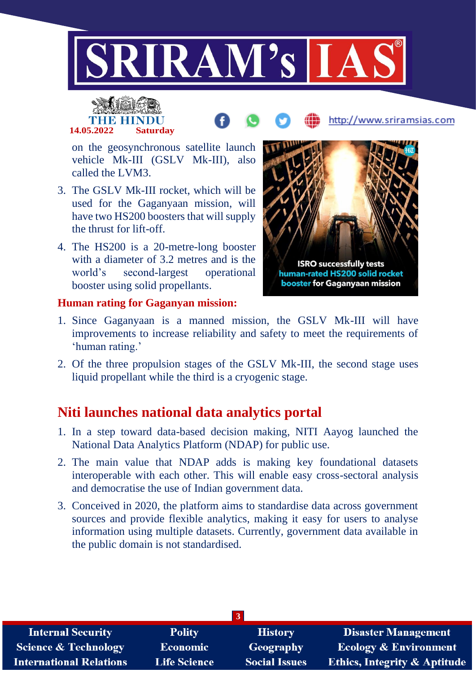



# http://www.sriramsias.com

on the geosynchronous satellite launch vehicle Mk-III (GSLV Mk-III), also called the LVM3.

- 3. The GSLV Mk-III rocket, which will be used for the Gaganyaan mission, will have two HS200 boosters that will supply the thrust for lift-off.
- 4. The HS200 is a 20-metre-long booster with a diameter of 3.2 metres and is the world's second-largest operational booster using solid propellants.



#### **Human rating for Gaganyan mission:**

- 1. Since Gaganyaan is a manned mission, the GSLV Mk-III will have improvements to increase reliability and safety to meet the requirements of 'human rating.'
- 2. Of the three propulsion stages of the GSLV Mk-III, the second stage uses liquid propellant while the third is a cryogenic stage.

## **Niti launches national data analytics portal**

- 1. In a step toward data-based decision making, NITI Aayog launched the National Data Analytics Platform (NDAP) for public use.
- 2. The main value that NDAP adds is making key foundational datasets interoperable with each other. This will enable easy cross-sectoral analysis and democratise the use of Indian government data.
- 3. Conceived in 2020, the platform aims to standardise data across government sources and provide flexible analytics, making it easy for users to analyse information using multiple datasets. Currently, government data available in the public domain is not standardised.

| <b>Internal Security</b>        | <b>Polity</b>       | <b>History</b>       | <b>Disaster Management</b>              |  |  |
|---------------------------------|---------------------|----------------------|-----------------------------------------|--|--|
| <b>Science &amp; Technology</b> | Economic            | <b>Geography</b>     | <b>Ecology &amp; Environment</b>        |  |  |
| <b>International Relations</b>  | <b>Life Science</b> | <b>Social Issues</b> | <b>Ethics, Integrity &amp; Aptitude</b> |  |  |